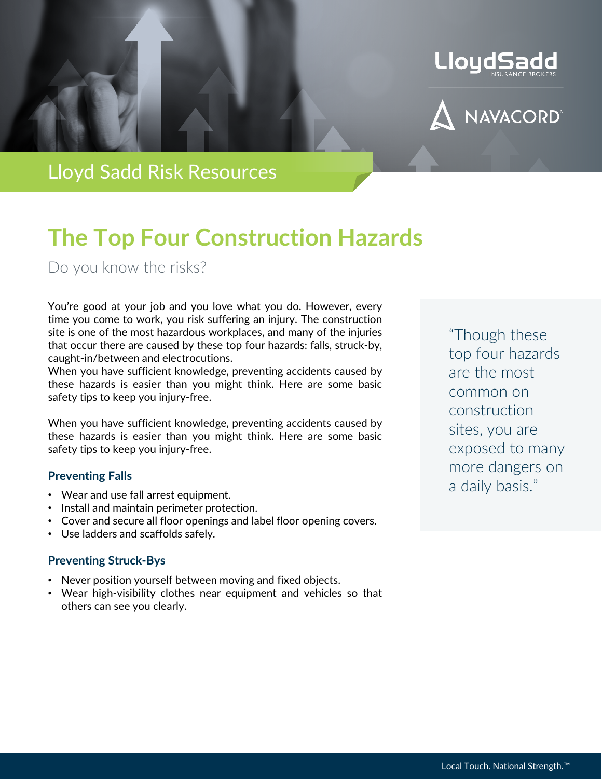



Lloyd Sadd Risk Resources

# **The Top Four Construction Hazards**

Do you know the risks?

You're good at your job and you love what you do. However, every time you come to work, you risk suffering an injury. The construction site is one of the most hazardous workplaces, and many of the injuries that occur there are caused by these top four hazards: falls, struck-by, caught-in/between and electrocutions.

When you have sufficient knowledge, preventing accidents caused by these hazards is easier than you might think. Here are some basic safety tips to keep you injury-free.

When you have sufficient knowledge, preventing accidents caused by these hazards is easier than you might think. Here are some basic safety tips to keep you injury-free.

### **Preventing Falls**

- Wear and use fall arrest equipment.
- Install and maintain perimeter protection.
- Cover and secure all floor openings and label floor opening covers.
- Use ladders and scaffolds safely.

## **Preventing Struck-Bys**

- Never position yourself between moving and fixed objects.
- Wear high-visibility clothes near equipment and vehicles so that others can see you clearly.

"Though these top four hazards are the most common on construction sites, you are exposed to many more dangers on a daily basis."